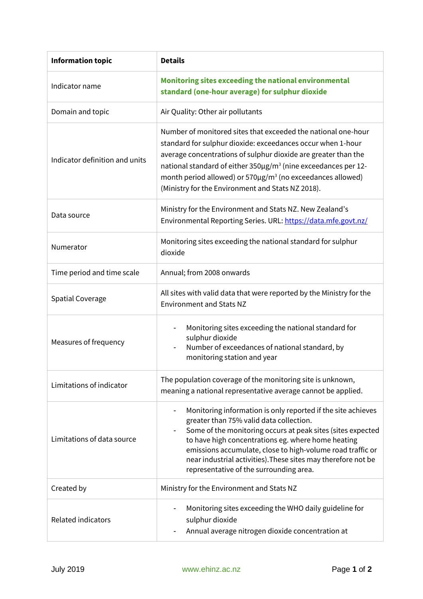| <b>Information topic</b>       | <b>Details</b>                                                                                                                                                                                                                                                                                                                                                                                                                     |
|--------------------------------|------------------------------------------------------------------------------------------------------------------------------------------------------------------------------------------------------------------------------------------------------------------------------------------------------------------------------------------------------------------------------------------------------------------------------------|
| Indicator name                 | Monitoring sites exceeding the national environmental<br>standard (one-hour average) for sulphur dioxide                                                                                                                                                                                                                                                                                                                           |
| Domain and topic               | Air Quality: Other air pollutants                                                                                                                                                                                                                                                                                                                                                                                                  |
| Indicator definition and units | Number of monitored sites that exceeded the national one-hour<br>standard for sulphur dioxide: exceedances occur when 1-hour<br>average concentrations of sulphur dioxide are greater than the<br>national standard of either $350 \mu g/m^3$ (nine exceedances per 12-<br>month period allowed) or $570\mu$ g/m <sup>3</sup> (no exceedances allowed)<br>(Ministry for the Environment and Stats NZ 2018).                        |
| Data source                    | Ministry for the Environment and Stats NZ. New Zealand's<br>Environmental Reporting Series. URL: https://data.mfe.govt.nz/                                                                                                                                                                                                                                                                                                         |
| Numerator                      | Monitoring sites exceeding the national standard for sulphur<br>dioxide                                                                                                                                                                                                                                                                                                                                                            |
| Time period and time scale     | Annual; from 2008 onwards                                                                                                                                                                                                                                                                                                                                                                                                          |
| <b>Spatial Coverage</b>        | All sites with valid data that were reported by the Ministry for the<br><b>Environment and Stats NZ</b>                                                                                                                                                                                                                                                                                                                            |
| Measures of frequency          | Monitoring sites exceeding the national standard for<br>sulphur dioxide<br>Number of exceedances of national standard, by<br>$\overline{\phantom{a}}$<br>monitoring station and year                                                                                                                                                                                                                                               |
| Limitations of indicator       | The population coverage of the monitoring site is unknown,<br>meaning a national representative average cannot be applied.                                                                                                                                                                                                                                                                                                         |
| Limitations of data source     | Monitoring information is only reported if the site achieves<br>$\overline{\phantom{a}}$<br>greater than 75% valid data collection.<br>Some of the monitoring occurs at peak sites (sites expected<br>to have high concentrations eg. where home heating<br>emissions accumulate, close to high-volume road traffic or<br>near industrial activities). These sites may therefore not be<br>representative of the surrounding area. |
| Created by                     | Ministry for the Environment and Stats NZ                                                                                                                                                                                                                                                                                                                                                                                          |
| Related indicators             | Monitoring sites exceeding the WHO daily guideline for<br>sulphur dioxide<br>Annual average nitrogen dioxide concentration at                                                                                                                                                                                                                                                                                                      |